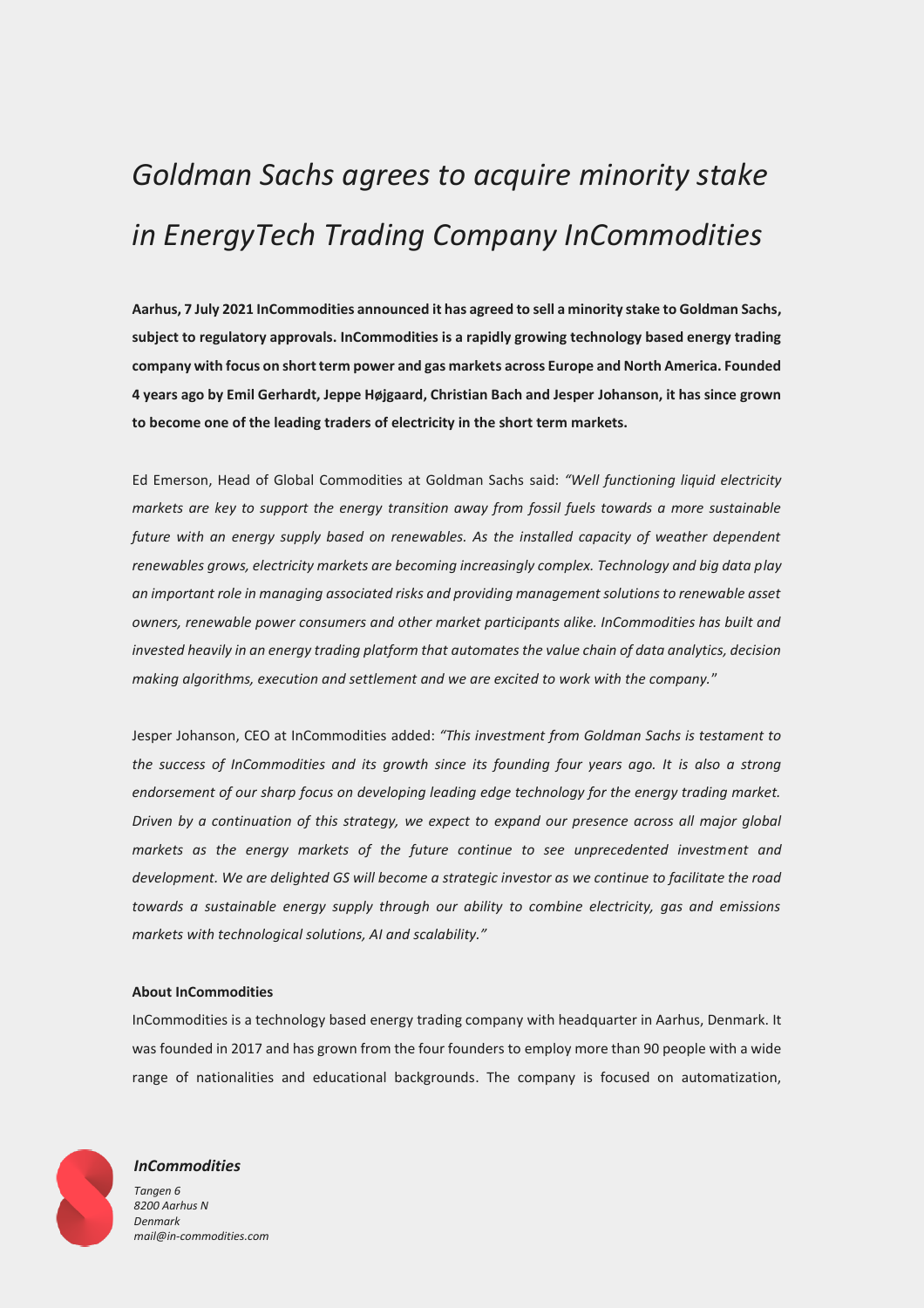# *Goldman Sachs agrees to acquire minority stake in EnergyTech Trading Company InCommodities*

**Aarhus, 7 July 2021 InCommodities announced it has agreed to sell a minority stake to Goldman Sachs, subject to regulatory approvals. InCommodities is a rapidly growing technology based energy trading company with focus on short term power and gas markets across Europe and North America. Founded 4 years ago by Emil Gerhardt, Jeppe Højgaard, Christian Bach and Jesper Johanson, it has since grown to become one of the leading traders of electricity in the short term markets.** 

Ed Emerson, Head of Global Commodities at Goldman Sachs said: *"Well functioning liquid electricity markets are key to support the energy transition away from fossil fuels towards a more sustainable future with an energy supply based on renewables. As the installed capacity of weather dependent renewables grows, electricity markets are becoming increasingly complex. Technology and big data play an important role in managing associated risks and providing management solutions to renewable asset owners, renewable power consumers and other market participants alike. InCommodities has built and invested heavily in an energy trading platform that automates the value chain of data analytics, decision making algorithms, execution and settlement and we are excited to work with the company.*"

Jesper Johanson, CEO at InCommodities added: *"This investment from Goldman Sachs is testament to the success of InCommodities and its growth since its founding four years ago. It is also a strong endorsement of our sharp focus on developing leading edge technology for the energy trading market. Driven by a continuation of this strategy, we expect to expand our presence across all major global markets as the energy markets of the future continue to see unprecedented investment and development. We are delighted GS will become a strategic investor as we continue to facilitate the road towards a sustainable energy supply through our ability to combine electricity, gas and emissions markets with technological solutions, AI and scalability."*

## **About InCommodities**

InCommodities is a technology based energy trading company with headquarter in Aarhus, Denmark. It was founded in 2017 and has grown from the four founders to employ more than 90 people with a wide range of nationalities and educational backgrounds. The company is focused on automatization,



## *InCommodities*

*Tangen 6 8200 Aarhus N Denmark mail@in-commodities.com*